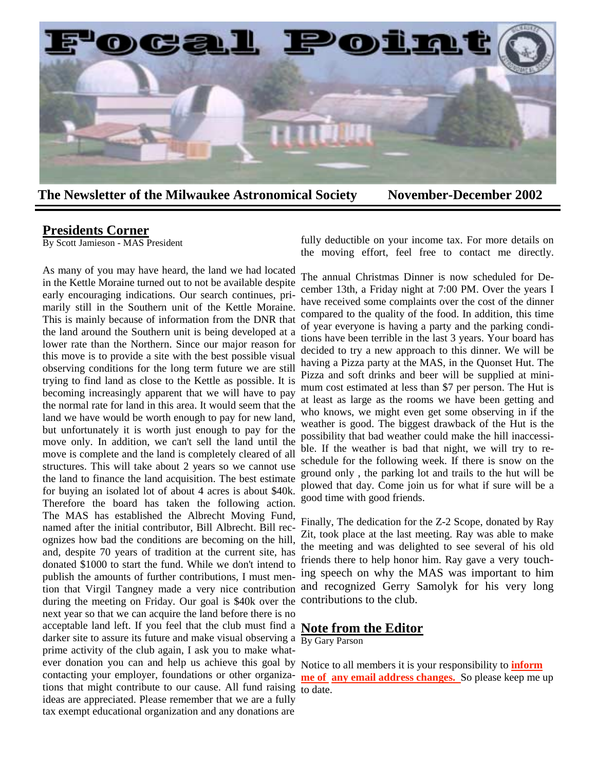

**The Newsletter of the Milwaukee Astronomical Society November-December 2002** 

#### **Presidents Corner**

By Scott Jamieson - MAS President

As many of you may have heard, the land we had located in the Kettle Moraine turned out to not be available despite early encouraging indications. Our search continues, primarily still in the Southern unit of the Kettle Moraine. This is mainly because of information from the DNR that the land around the Southern unit is being developed at a lower rate than the Northern. Since our major reason for this move is to provide a site with the best possible visual observing conditions for the long term future we are still trying to find land as close to the Kettle as possible. It is becoming increasingly apparent that we will have to pay the normal rate for land in this area. It would seem that the land we have would be worth enough to pay for new land, but unfortunately it is worth just enough to pay for the move only. In addition, we can't sell the land until the move is complete and the land is completely cleared of all structures. This will take about 2 years so we cannot use the land to finance the land acquisition. The best estimate for buying an isolated lot of about 4 acres is about \$40k. Therefore the board has taken the following action. The MAS has established the Albrecht Moving Fund, named after the initial contributor, Bill Albrecht. Bill recognizes how bad the conditions are becoming on the hill, and, despite 70 years of tradition at the current site, has donated \$1000 to start the fund. While we don't intend to publish the amounts of further contributions, I must mention that Virgil Tangney made a very nice contribution during the meeting on Friday. Our goal is \$40k over the contributions to the club. next year so that we can acquire the land before there is no acceptable land left. If you feel that the club must find a darker site to assure its future and make visual observing a  $\frac{B_y G_{\text{ary}}}{B_x G_{\text{avg}}}$ prime activity of the club again, I ask you to make whatever donation you can and help us achieve this goal by Notice to all members it is your responsibility to **inform**  contacting your employer, foundations or other organizations that might contribute to our cause. All fund raising  $\frac{1}{10}$  date. ideas are appreciated. Please remember that we are a fully tax exempt educational organization and any donations are

fully deductible on your income tax. For more details on the moving effort, feel free to contact me directly.

The annual Christmas Dinner is now scheduled for December 13th, a Friday night at 7:00 PM. Over the years I have received some complaints over the cost of the dinner compared to the quality of the food. In addition, this time of year everyone is having a party and the parking conditions have been terrible in the last 3 years. Your board has decided to try a new approach to this dinner. We will be having a Pizza party at the MAS, in the Quonset Hut. The Pizza and soft drinks and beer will be supplied at minimum cost estimated at less than \$7 per person. The Hut is at least as large as the rooms we have been getting and who knows, we might even get some observing in if the weather is good. The biggest drawback of the Hut is the possibility that bad weather could make the hill inaccessible. If the weather is bad that night, we will try to reschedule for the following week. If there is snow on the ground only , the parking lot and trails to the hut will be plowed that day. Come join us for what if sure will be a good time with good friends.

Finally, The dedication for the Z-2 Scope, donated by Ray Zit, took place at the last meeting. Ray was able to make the meeting and was delighted to see several of his old friends there to help honor him. Ray gave a very touching speech on why the MAS was important to him and recognized Gerry Samolyk for his very long

### **Note from the Editor**

**me of any email address changes.** So please keep me up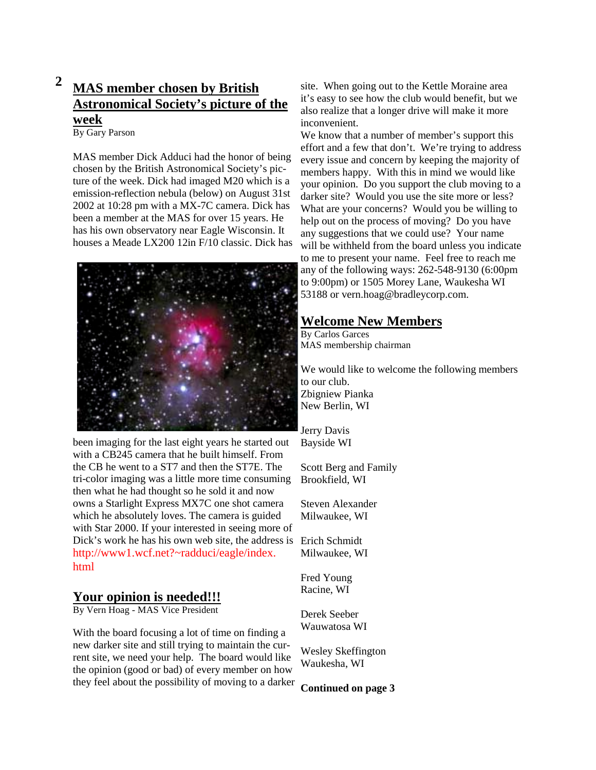# **2 MAS member chosen by British Astronomical Society's picture of the week**

By Gary Parson

MAS member Dick Adduci had the honor of being chosen by the British Astronomical Society's picture of the week. Dick had imaged M20 which is a emission-reflection nebula (below) on August 31st 2002 at 10:28 pm with a MX-7C camera. Dick has been a member at the MAS for over 15 years. He has his own observatory near Eagle Wisconsin. It houses a Meade LX200 12in F/10 classic. Dick has



been imaging for the last eight years he started out with a CB245 camera that he built himself. From the CB he went to a ST7 and then the ST7E. The tri-color imaging was a little more time consuming then what he had thought so he sold it and now owns a Starlight Express MX7C one shot camera which he absolutely loves. The camera is guided with Star 2000. If your interested in seeing more of Dick's work he has his own web site, the address is Erich Schmidt http://www1.wcf.net?~radduci/eagle/index. html

## **Your opinion is needed!!!**

By Vern Hoag - MAS Vice President

With the board focusing a lot of time on finding a new darker site and still trying to maintain the current site, we need your help. The board would like the opinion (good or bad) of every member on how they feel about the possibility of moving to a darker

site. When going out to the Kettle Moraine area it's easy to see how the club would benefit, but we also realize that a longer drive will make it more inconvenient.

We know that a number of member's support this effort and a few that don't. We're trying to address every issue and concern by keeping the majority of members happy. With this in mind we would like your opinion. Do you support the club moving to a darker site? Would you use the site more or less? What are your concerns? Would you be willing to help out on the process of moving? Do you have any suggestions that we could use? Your name will be withheld from the board unless you indicate to me to present your name. Feel free to reach me any of the following ways: 262-548-9130 (6:00pm to 9:00pm) or 1505 Morey Lane, Waukesha WI 53188 or vern.hoag@bradleycorp.com.

# **Welcome New Members**

By Carlos Garces MAS membership chairman

We would like to welcome the following members to our club. Zbigniew Pianka New Berlin, WI

Jerry Davis Bayside WI

Scott Berg and Family Brookfield, WI

Steven Alexander Milwaukee, WI

Milwaukee, WI

Fred Young Racine, WI

Derek Seeber Wauwatosa WI

Wesley Skeffington Waukesha, WI

**Continued on page 3**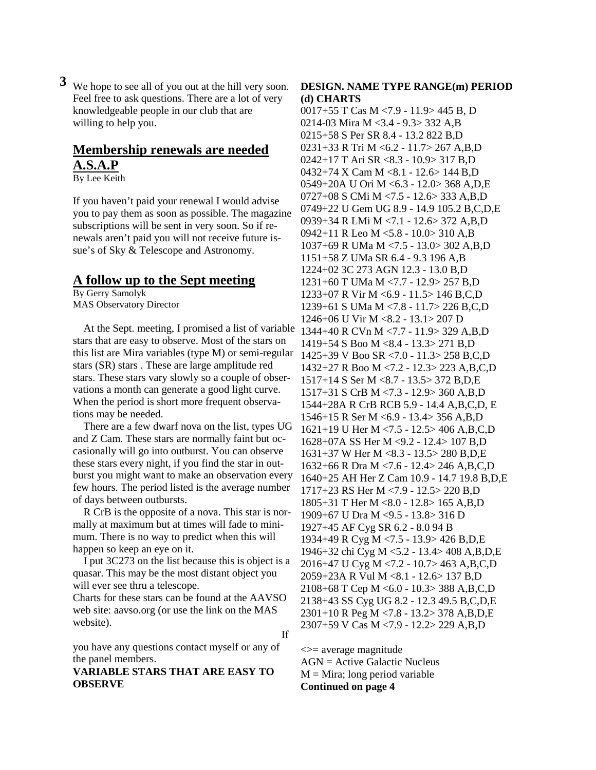**3** We hope to see all of you out at the hill very soon. Feel free to ask questions. There are a lot of very knowledgeable people in our club that are willing to help you.

# **Membership renewals are needed A.S.A.P**

By Lee Keith

If you haven't paid your renewal I would advise you to pay them as soon as possible. The magazine subscriptions will be sent in very soon. So if renewals aren't paid you will not receive future issue's of Sky & Telescope and Astronomy.

### **A follow up to the Sept meeting**

By Gerry Samolyk MAS Observatory Director

 At the Sept. meeting, I promised a list of variable stars that are easy to observe. Most of the stars on this list are Mira variables (type M) or semi-regular stars (SR) stars . These are large amplitude red stars. These stars vary slowly so a couple of observations a month can generate a good light curve. When the period is short more frequent observations may be needed.

 There are a few dwarf nova on the list, types UG and Z Cam. These stars are normally faint but occasionally will go into outburst. You can observe these stars every night, if you find the star in outburst you might want to make an observation every few hours. The period listed is the average number of days between outbursts.

 R CrB is the opposite of a nova. This star is normally at maximum but at times will fade to minimum. There is no way to predict when this will happen so keep an eye on it.

 I put 3C273 on the list because this is object is a quasar. This may be the most distant object you will ever see thru a telescope.

Charts for these stars can be found at the AAVSO web site: aavso.org (or use the link on the MAS website).

If

you have any questions contact myself or any of the panel members.

#### **VARIABLE STARS THAT ARE EASY TO OBSERVE**

#### **DESIGN. NAME TYPE RANGE(m) PERIOD (d) CHARTS**

0017+55 T Cas M <7.9 - 11.9> 445 B, D 0214-03 Mira M <3.4 - 9.3> 332 A,B 0215+58 S Per SR 8.4 - 13.2 822 B,D 0231+33 R Tri M <6.2 - 11.7> 267 A,B,D 0242+17 T Ari SR <8.3 - 10.9> 317 B,D 0432+74 X Cam M <8.1 - 12.6> 144 B,D 0549+20A U Ori M <6.3 - 12.0> 368 A,D,E 0727+08 S CMi M <7.5 - 12.6> 333 A,B,D 0749+22 U Gem UG 8.9 - 14.9 105.2 B,C,D,E 0939+34 R LMi M <7.1 - 12.6> 372 A,B,D 0942+11 R Leo M <5.8 - 10.0> 310 A,B 1037+69 R UMa M <7.5 - 13.0> 302 A,B,D 1151+58 Z UMa SR 6.4 - 9.3 196 A,B 1224+02 3C 273 AGN 12.3 - 13.0 B,D 1231+60 T UMa M <7.7 - 12.9> 257 B,D 1233+07 R Vir M <6.9 - 11.5> 146 B,C,D 1239+61 S UMa M <7.8 - 11.7> 226 B,C,D 1246+06 U Vir M <8.2 - 13.1> 207 D 1344+40 R CVn M <7.7 - 11.9> 329 A,B,D 1419+54 S Boo M <8.4 - 13.3> 271 B,D 1425+39 V Boo SR <7.0 - 11.3> 258 B,C,D 1432+27 R Boo M <7.2 - 12.3> 223 A,B,C,D 1517+14 S Ser M <8.7 - 13.5> 372 B,D,E 1517+31 S CrB M <7.3 - 12.9> 360 A,B,D 1544+28A R CrB RCB 5.9 - 14.4 A,B,C,D, E 1546+15 R Ser M <6.9 - 13.4> 356 A,B,D 1621+19 U Her M <7.5 - 12.5> 406 A,B,C,D 1628+07A SS Her M <9.2 - 12.4> 107 B,D 1631+37 W Her M <8.3 - 13.5> 280 B,D,E 1632+66 R Dra M <7.6 - 12.4> 246 A,B,C,D 1640+25 AH Her Z Cam 10.9 - 14.7 19.8 B,D,E 1717+23 RS Her M <7.9 - 12.5> 220 B,D 1805+31 T Her M <8.0 - 12.8> 165 A,B,D 1909+67 U Dra M <9.5 - 13.8> 316 D 1927+45 AF Cyg SR 6.2 - 8.0 94 B 1934+49 R Cyg M <7.5 - 13.9> 426 B,D,E 1946+32 chi Cyg M <5.2 - 13.4> 408 A,B,D,E 2016+47 U Cyg M <7.2 - 10.7> 463 A,B,C,D 2059+23A R Vul M <8.1 - 12.6> 137 B,D 2108+68 T Cep M <6.0 - 10.3> 388 A,B,C,D 2138+43 SS Cyg UG 8.2 - 12.3 49.5 B,C,D,E 2301+10 R Peg M <7.8 - 13.2> 378 A,B,D,E 2307+59 V Cas M <7.9 - 12.2> 229 A,B,D

 $\le$  = average magnitude AGN = Active Galactic Nucleus  $M = Mira$ ; long period variable **Continued on page 4**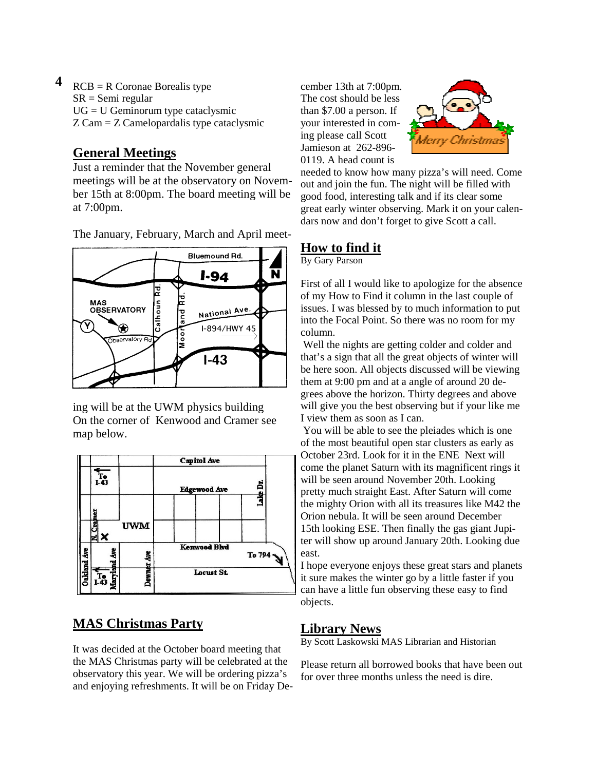### **4**  $RCB = R$  Coronae Borealis type SR = Semi regular UG = U Geminorum type cataclysmic Z Cam = Z Camelopardalis type cataclysmic

# **General Meetings**

Just a reminder that the November general meetings will be at the observatory on November 15th at 8:00pm. The board meeting will be at 7:00pm.

The January, February, March and April meet-



ing will be at the UWM physics building On the corner of Kenwood and Cramer see map below.



# **MAS Christmas Party**

It was decided at the October board meeting that the MAS Christmas party will be celebrated at the observatory this year. We will be ordering pizza's and enjoying refreshments. It will be on Friday De-

cember 13th at 7:00pm. The cost should be less than \$7.00 a person. If your interested in coming please call Scott Jamieson at 262-896- 0119. A head count is



needed to know how many pizza's will need. Come out and join the fun. The night will be filled with good food, interesting talk and if its clear some great early winter observing. Mark it on your calendars now and don't forget to give Scott a call.

# **How to find it**

By Gary Parson

First of all I would like to apologize for the absence of my How to Find it column in the last couple of issues. I was blessed by to much information to put into the Focal Point. So there was no room for my column.

 Well the nights are getting colder and colder and that's a sign that all the great objects of winter will be here soon. All objects discussed will be viewing them at 9:00 pm and at a angle of around 20 degrees above the horizon. Thirty degrees and above will give you the best observing but if your like me I view them as soon as I can.

 You will be able to see the pleiades which is one of the most beautiful open star clusters as early as October 23rd. Look for it in the ENE Next will come the planet Saturn with its magnificent rings it will be seen around November 20th. Looking pretty much straight East. After Saturn will come the mighty Orion with all its treasures like M42 the Orion nebula. It will be seen around December 15th looking ESE. Then finally the gas giant Jupiter will show up around January 20th. Looking due east.

I hope everyone enjoys these great stars and planets it sure makes the winter go by a little faster if you can have a little fun observing these easy to find objects.

## **Library News**

By Scott Laskowski MAS Librarian and Historian

Please return all borrowed books that have been out for over three months unless the need is dire.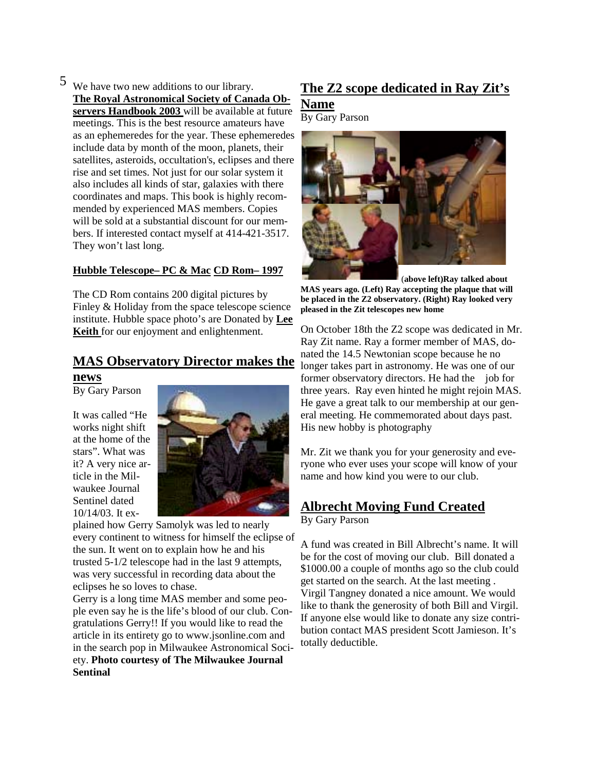5 We have two new additions to our library. **The Royal Astronomical Society of Canada Observers Handbook 2003** will be available at future meetings. This is the best resource amateurs have as an ephemeredes for the year. These ephemeredes include data by month of the moon, planets, their satellites, asteroids, occultation's, eclipses and there rise and set times. Not just for our solar system it also includes all kinds of star, galaxies with there coordinates and maps. This book is highly recommended by experienced MAS members. Copies will be sold at a substantial discount for our members. If interested contact myself at 414-421-3517. They won't last long.

#### **Hubble Telescope– PC & Mac CD Rom– 1997**

The CD Rom contains 200 digital pictures by Finley & Holiday from the space telescope science institute. Hubble space photo's are Donated by **Lee Keith** for our enjoyment and enlightenment.

## **MAS Observatory Director makes the news**

By Gary Parson

It was called "He works night shift at the home of the stars". What was it? A very nice article in the Milwaukee Journal Sentinel dated 10/14/03. It ex-



plained how Gerry Samolyk was led to nearly every continent to witness for himself the eclipse of the sun. It went on to explain how he and his trusted 5-1/2 telescope had in the last 9 attempts, was very successful in recording data about the eclipses he so loves to chase.

Gerry is a long time MAS member and some people even say he is the life's blood of our club. Congratulations Gerry!! If you would like to read the article in its entirety go to www.jsonline.com and in the search pop in Milwaukee Astronomical Society. **Photo courtesy of The Milwaukee Journal Sentinal** 

# **The Z2 scope dedicated in Ray Zit's**

### **Name**

By Gary Parson



(**above left)Ray talked about MAS years ago. (Left) Ray accepting the plaque that will be placed in the Z2 observatory. (Right) Ray looked very pleased in the Zit telescopes new home** 

On October 18th the Z2 scope was dedicated in Mr. Ray Zit name. Ray a former member of MAS, donated the 14.5 Newtonian scope because he no longer takes part in astronomy. He was one of our former observatory directors. He had the job for three years. Ray even hinted he might rejoin MAS. He gave a great talk to our membership at our general meeting. He commemorated about days past. His new hobby is photography

Mr. Zit we thank you for your generosity and everyone who ever uses your scope will know of your name and how kind you were to our club.

# **Albrecht Moving Fund Created**

By Gary Parson

A fund was created in Bill Albrecht's name. It will be for the cost of moving our club. Bill donated a \$1000.00 a couple of months ago so the club could get started on the search. At the last meeting . Virgil Tangney donated a nice amount. We would like to thank the generosity of both Bill and Virgil. If anyone else would like to donate any size contribution contact MAS president Scott Jamieson. It's totally deductible.